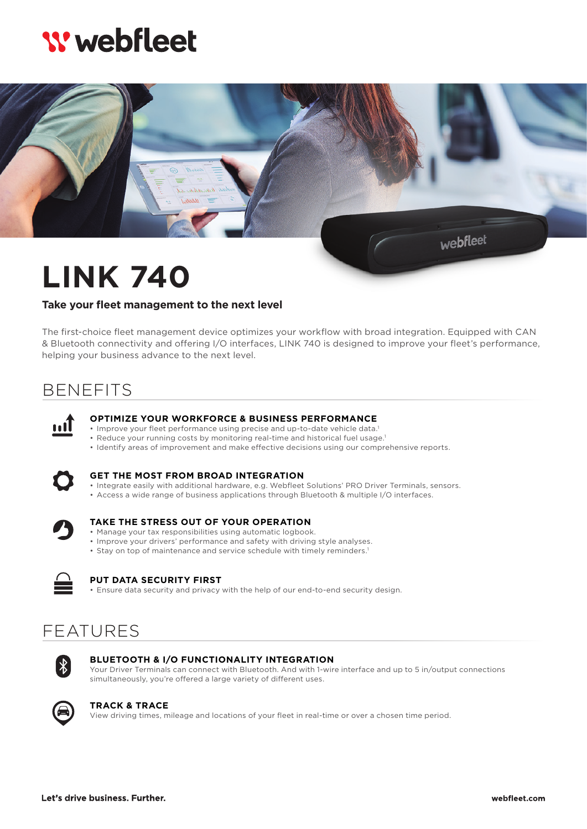# **W** webfleet



# **LINK 740**

### **Take your fleet management to the next level**

The first-choice fleet management device optimizes your workflow with broad integration. Equipped with CAN & Bluetooth connectivity and offering I/O interfaces, LINK 740 is designed to improve your fleet's performance, helping your business advance to the next level.

# BENEFITS



#### **OPTIMIZE YOUR WORKFORCE & BUSINESS PERFORMANCE**

- Improve your fleet performance using precise and up-to-date vehicle data.<sup>1</sup>
- Reduce your running costs by monitoring real-time and historical fuel usage.<sup>1</sup>
- Identify areas of improvement and make effective decisions using our comprehensive reports.



#### **GET THE MOST FROM BROAD INTEGRATION**

- Integrate easily with additional hardware, e.g. Webfleet Solutions' PRO Driver Terminals, sensors.
- Access a wide range of business applications through Bluetooth & multiple I/O interfaces.



## **TAKE THE STRESS OUT OF YOUR OPERATION**

- Manage your tax responsibilities using automatic logbook.
- Improve your drivers' performance and safety with driving style analyses.
- Stay on top of maintenance and service schedule with timely reminders.<sup>1</sup>



#### **PUT DATA SECURITY FIRST**

• Ensure data security and privacy with the help of our end-to-end security design.

## FEATURES



#### **BLUETOOTH & I/O FUNCTIONALITY INTEGRATION**

Your Driver Terminals can connect with Bluetooth. And with 1-wire interface and up to 5 in/output connections simultaneously, you're offered a large variety of different uses.



#### **TRACK & TRACE**

View driving times, mileage and locations of your fleet in real-time or over a chosen time period.